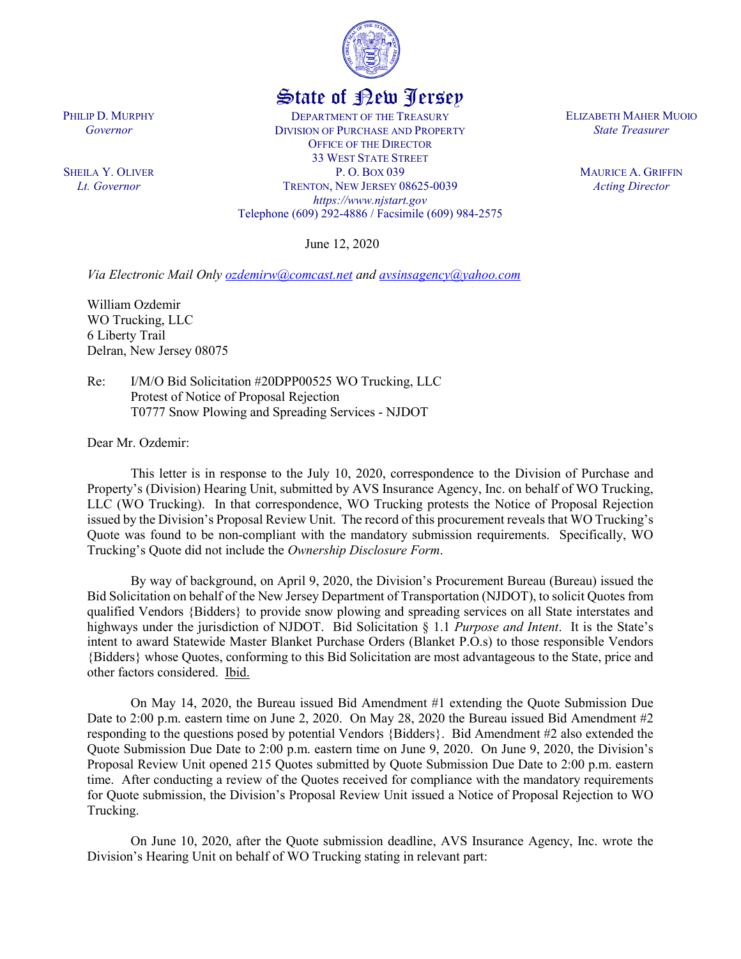

## State of New Jersey

DEPARTMENT OF THE TREASURY DIVISION OF PURCHASE AND PROPERTY OFFICE OF THE DIRECTOR 33 WEST STATE STREET P. O. BOX 039 TRENTON, NEW JERSEY 08625-0039 *https://www.njstart.gov* Telephone (609) 292-4886 / Facsimile (609) 984-2575

June 12, 2020

ELIZABETH MAHER MUOIO *State Treasurer*

> MAURICE A. GRIFFIN *Acting Director*

PHILIP D. MURPHY *Governor*

SHEILA Y. OLIVER *Lt. Governor*

*Via Electronic Mail Only [ozdemirw@comcast.net](mailto:ozdemirw@comcast.net) and [avsinsagency@yahoo.com](mailto:avsinsagency@yahoo.com)*

William Ozdemir WO Trucking, LLC 6 Liberty Trail Delran, New Jersey 08075

Re: I/M/O Bid Solicitation #20DPP00525 WO Trucking, LLC Protest of Notice of Proposal Rejection T0777 Snow Plowing and Spreading Services - NJDOT

Dear Mr. Ozdemir:

This letter is in response to the July 10, 2020, correspondence to the Division of Purchase and Property's (Division) Hearing Unit, submitted by AVS Insurance Agency, Inc. on behalf of WO Trucking, LLC (WO Trucking). In that correspondence, WO Trucking protests the Notice of Proposal Rejection issued by the Division's Proposal Review Unit. The record of this procurement reveals that WO Trucking's Quote was found to be non-compliant with the mandatory submission requirements. Specifically, WO Trucking's Quote did not include the *Ownership Disclosure Form*.

By way of background, on April 9, 2020, the Division's Procurement Bureau (Bureau) issued the Bid Solicitation on behalf of the New Jersey Department of Transportation (NJDOT), to solicit Quotesfrom qualified Vendors {Bidders} to provide snow plowing and spreading services on all State interstates and highways under the jurisdiction of NJDOT. Bid Solicitation § 1.1 *Purpose and Intent*. It is the State's intent to award Statewide Master Blanket Purchase Orders (Blanket P.O.s) to those responsible Vendors {Bidders} whose Quotes, conforming to this Bid Solicitation are most advantageous to the State, price and other factors considered. Ibid.

On May 14, 2020, the Bureau issued Bid Amendment #1 extending the Quote Submission Due Date to 2:00 p.m. eastern time on June 2, 2020. On May 28, 2020 the Bureau issued Bid Amendment #2 responding to the questions posed by potential Vendors {Bidders}. Bid Amendment #2 also extended the Quote Submission Due Date to 2:00 p.m. eastern time on June 9, 2020. On June 9, 2020, the Division's Proposal Review Unit opened 215 Quotes submitted by Quote Submission Due Date to 2:00 p.m. eastern time. After conducting a review of the Quotes received for compliance with the mandatory requirements for Quote submission, the Division's Proposal Review Unit issued a Notice of Proposal Rejection to WO Trucking.

On June 10, 2020, after the Quote submission deadline, AVS Insurance Agency, Inc. wrote the Division's Hearing Unit on behalf of WO Trucking stating in relevant part: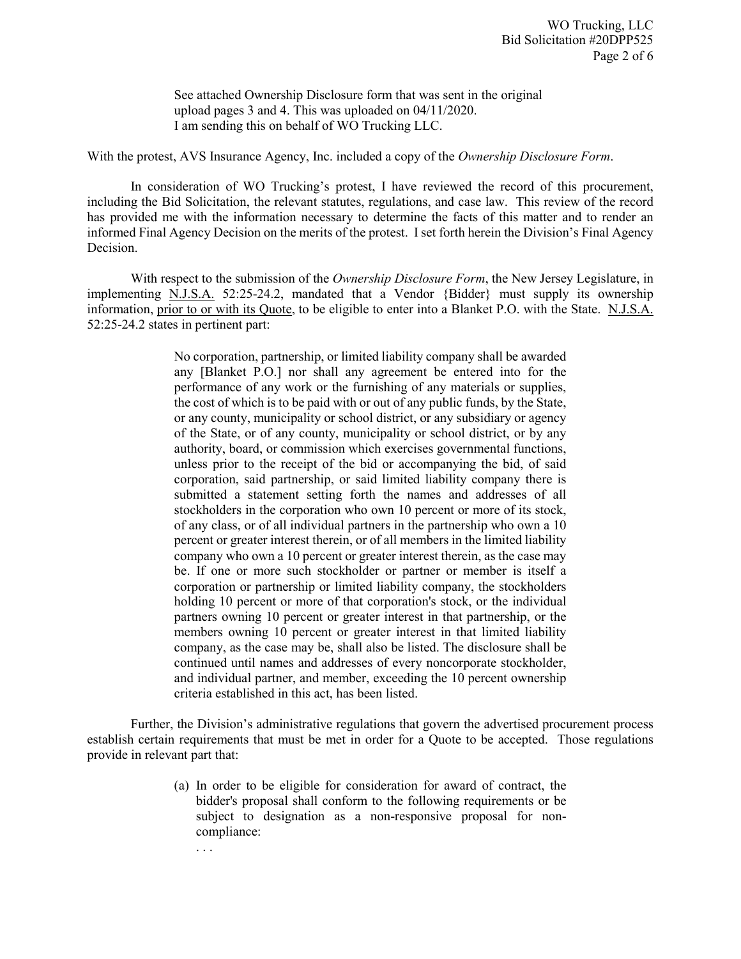See attached Ownership Disclosure form that was sent in the original upload pages 3 and 4. This was uploaded on 04/11/2020. I am sending this on behalf of WO Trucking LLC.

With the protest, AVS Insurance Agency, Inc. included a copy of the *Ownership Disclosure Form*.

In consideration of WO Trucking's protest, I have reviewed the record of this procurement, including the Bid Solicitation, the relevant statutes, regulations, and case law. This review of the record has provided me with the information necessary to determine the facts of this matter and to render an informed Final Agency Decision on the merits of the protest. I set forth herein the Division's Final Agency Decision.

With respect to the submission of the *Ownership Disclosure Form*, the New Jersey Legislature, in implementing N.J.S.A. 52:25-24.2, mandated that a Vendor {Bidder} must supply its ownership information, prior to or with its Quote, to be eligible to enter into a Blanket P.O. with the State. N.J.S.A. 52:25-24.2 states in pertinent part:

> No corporation, partnership, or limited liability company shall be awarded any [Blanket P.O.] nor shall any agreement be entered into for the performance of any work or the furnishing of any materials or supplies, the cost of which is to be paid with or out of any public funds, by the State, or any county, municipality or school district, or any subsidiary or agency of the State, or of any county, municipality or school district, or by any authority, board, or commission which exercises governmental functions, unless prior to the receipt of the bid or accompanying the bid, of said corporation, said partnership, or said limited liability company there is submitted a statement setting forth the names and addresses of all stockholders in the corporation who own 10 percent or more of its stock, of any class, or of all individual partners in the partnership who own a 10 percent or greater interest therein, or of all members in the limited liability company who own a 10 percent or greater interest therein, as the case may be. If one or more such stockholder or partner or member is itself a corporation or partnership or limited liability company, the stockholders holding 10 percent or more of that corporation's stock, or the individual partners owning 10 percent or greater interest in that partnership, or the members owning 10 percent or greater interest in that limited liability company, as the case may be, shall also be listed. The disclosure shall be continued until names and addresses of every noncorporate stockholder, and individual partner, and member, exceeding the 10 percent ownership criteria established in this act, has been listed.

Further, the Division's administrative regulations that govern the advertised procurement process establish certain requirements that must be met in order for a Quote to be accepted. Those regulations provide in relevant part that:

- (a) In order to be eligible for consideration for award of contract, the bidder's proposal shall conform to the following requirements or be subject to designation as a non-responsive proposal for noncompliance:
	- . . .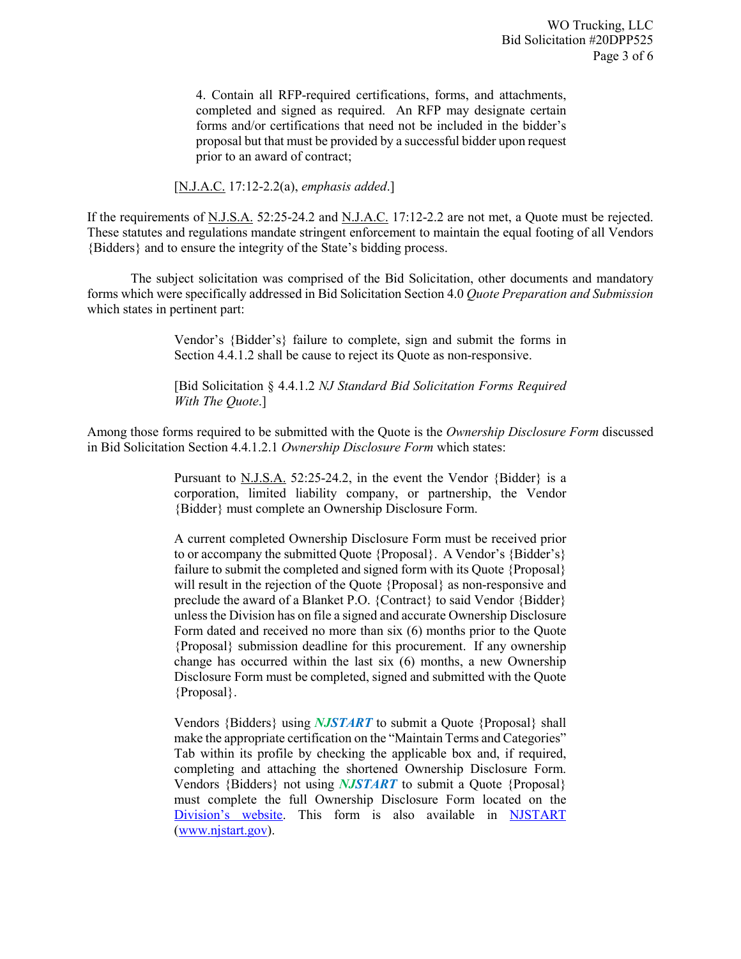4. Contain all RFP-required certifications, forms, and attachments, completed and signed as required. An RFP may designate certain forms and/or certifications that need not be included in the bidder's proposal but that must be provided by a successful bidder upon request prior to an award of contract;

[N.J.A.C. 17:12-2.2(a), *emphasis added*.]

If the requirements of N.J.S.A. 52:25-24.2 and N.J.A.C. 17:12-2.2 are not met, a Quote must be rejected. These statutes and regulations mandate stringent enforcement to maintain the equal footing of all Vendors {Bidders} and to ensure the integrity of the State's bidding process.

The subject solicitation was comprised of the Bid Solicitation, other documents and mandatory forms which were specifically addressed in Bid Solicitation Section 4.0 *Quote Preparation and Submission*  which states in pertinent part:

> Vendor's {Bidder's} failure to complete, sign and submit the forms in Section 4.4.1.2 shall be cause to reject its Quote as non-responsive.

> [Bid Solicitation § 4.4.1.2 *NJ Standard Bid Solicitation Forms Required With The Quote*.]

Among those forms required to be submitted with the Quote is the *Ownership Disclosure Form* discussed in Bid Solicitation Section 4.4.1.2.1 *Ownership Disclosure Form* which states:

> Pursuant to N.J.S.A. 52:25-24.2, in the event the Vendor {Bidder} is a corporation, limited liability company, or partnership, the Vendor {Bidder} must complete an Ownership Disclosure Form.

> A current completed Ownership Disclosure Form must be received prior to or accompany the submitted Quote {Proposal}. A Vendor's {Bidder's} failure to submit the completed and signed form with its Quote {Proposal} will result in the rejection of the Quote {Proposal} as non-responsive and preclude the award of a Blanket P.O. {Contract} to said Vendor {Bidder} unless the Division has on file a signed and accurate Ownership Disclosure Form dated and received no more than six (6) months prior to the Quote {Proposal} submission deadline for this procurement. If any ownership change has occurred within the last six (6) months, a new Ownership Disclosure Form must be completed, signed and submitted with the Quote {Proposal}.

> Vendors {Bidders} using *NJSTART* to submit a Quote {Proposal} shall make the appropriate certification on the "Maintain Terms and Categories" Tab within its profile by checking the applicable box and, if required, completing and attaching the shortened Ownership Disclosure Form. Vendors {Bidders} not using *NJSTART* to submit a Quote {Proposal} must complete the full Ownership Disclosure Form located on the [Division's website.](http://www.state.nj.us/treasury/purchase/forms.shtml) This form is also available in [NJSTART](http://www.njstart.gov/) [\(www.njstart.gov\)](http://www.njstart.gov/).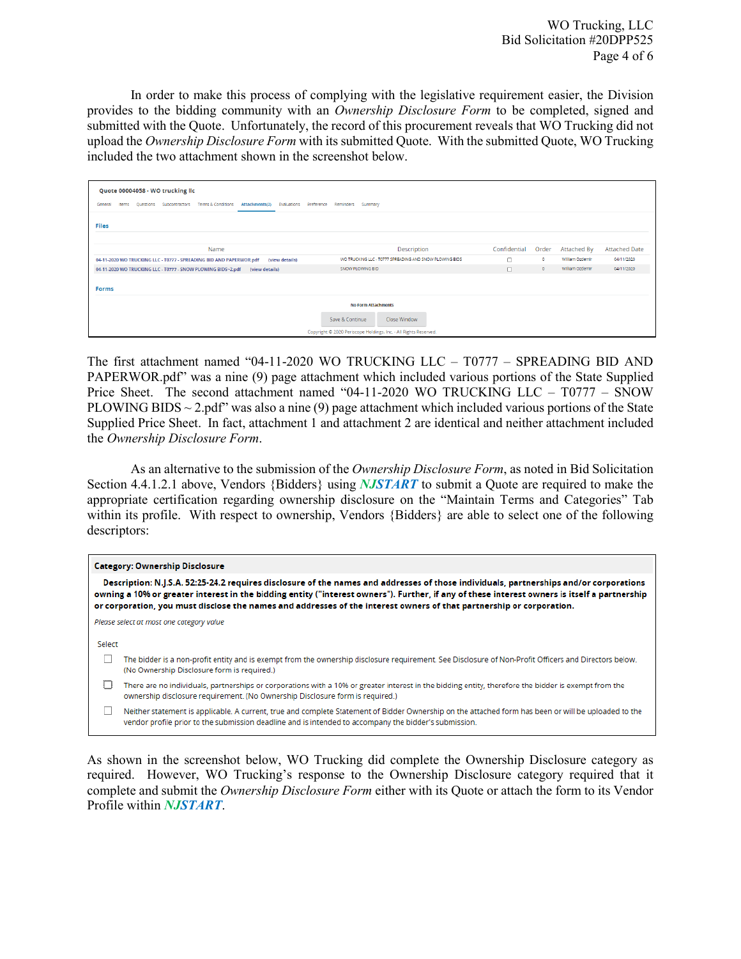WO Trucking, LLC Bid Solicitation #20DPP525 Page 4 of 6

In order to make this process of complying with the legislative requirement easier, the Division provides to the bidding community with an *Ownership Disclosure Form* to be completed, signed and submitted with the Quote. Unfortunately, the record of this procurement reveals that WO Trucking did not upload the *Ownership Disclosure Form* with its submitted Quote. With the submitted Quote, WO Trucking included the two attachment shown in the screenshot below.

| Quote 00004058 - WO trucking llc<br>Terms & Conditions<br>Questions<br>Subcontractors<br>General<br>Items | Attachments(2) Evaluations Preference Reminders Summary |              |         |                 |                      |  |  |  |  |  |
|-----------------------------------------------------------------------------------------------------------|---------------------------------------------------------|--------------|---------|-----------------|----------------------|--|--|--|--|--|
| <b>Files</b>                                                                                              |                                                         |              |         |                 |                      |  |  |  |  |  |
| Name                                                                                                      | Description                                             | Confidential | Order   | Attached By     | <b>Attached Date</b> |  |  |  |  |  |
| 04-11-2020 WO TRUCKING LLC - T0777 - SPREADING BID AND PAPERWOR.pdf<br>(view details)                     | WO TRUCKING LLC - T0777 SPREADING AND SNOW PLOWING BIDS | $\Box$       | $\circ$ | William Ozdemír | 04/11/2020           |  |  |  |  |  |
| 04-11-2020 WO TRUCKING LLC - T0777 - SNOW PLOWING BIDS~2.pdf<br>(view details)                            | SNOW PLOWING BID                                        | $\Box$       | $\circ$ | William Ozdemir | 04/11/2020           |  |  |  |  |  |
| <b>Forms</b>                                                                                              |                                                         |              |         |                 |                      |  |  |  |  |  |
| <b>No Form Attachments</b>                                                                                |                                                         |              |         |                 |                      |  |  |  |  |  |
|                                                                                                           | Save & Continue<br>Close Window                         |              |         |                 |                      |  |  |  |  |  |
| Copyright @ 2020 Periscope Holdings, Inc. - All Rights Reserved.                                          |                                                         |              |         |                 |                      |  |  |  |  |  |

The first attachment named "04-11-2020 WO TRUCKING LLC – T0777 – SPREADING BID AND PAPERWOR.pdf" was a nine (9) page attachment which included various portions of the State Supplied Price Sheet. The second attachment named "04-11-2020 WO TRUCKING LLC – T0777 – SNOW PLOWING BIDS  $\sim$  2.pdf" was also a nine (9) page attachment which included various portions of the State Supplied Price Sheet. In fact, attachment 1 and attachment 2 are identical and neither attachment included the *Ownership Disclosure Form*.

As an alternative to the submission of the *Ownership Disclosure Form*, as noted in Bid Solicitation Section 4.4.1.2.1 above, Vendors {Bidders} using *NJSTART* to submit a Quote are required to make the appropriate certification regarding ownership disclosure on the "Maintain Terms and Categories" Tab within its profile. With respect to ownership, Vendors {Bidders} are able to select one of the following descriptors:

|                                                                                                                                                                                                                                                                                                                                                                                                                | <b>Category: Ownership Disclosure</b>                                                                                                                                                                                                                         |  |  |  |  |  |
|----------------------------------------------------------------------------------------------------------------------------------------------------------------------------------------------------------------------------------------------------------------------------------------------------------------------------------------------------------------------------------------------------------------|---------------------------------------------------------------------------------------------------------------------------------------------------------------------------------------------------------------------------------------------------------------|--|--|--|--|--|
| Description: N.J.S.A. 52:25-24.2 requires disclosure of the names and addresses of those individuals, partnerships and/or corporations<br>owning a 10% or greater interest in the bidding entity ("interest owners"). Further, if any of these interest owners is itself a partnership<br>or corporation, you must disclose the names and addresses of the interest owners of that partnership or corporation. |                                                                                                                                                                                                                                                               |  |  |  |  |  |
|                                                                                                                                                                                                                                                                                                                                                                                                                | Please select at most one category value                                                                                                                                                                                                                      |  |  |  |  |  |
| Select                                                                                                                                                                                                                                                                                                                                                                                                         |                                                                                                                                                                                                                                                               |  |  |  |  |  |
|                                                                                                                                                                                                                                                                                                                                                                                                                | The bidder is a non-profit entity and is exempt from the ownership disclosure requirement. See Disclosure of Non-Profit Officers and Directors below.<br>(No Ownership Disclosure form is required.)                                                          |  |  |  |  |  |
| $\mathbf{1}$                                                                                                                                                                                                                                                                                                                                                                                                   | There are no individuals, partnerships or corporations with a 10% or greater interest in the bidding entity, therefore the bidder is exempt from the<br>ownership disclosure requirement. (No Ownership Disclosure form is required.)                         |  |  |  |  |  |
|                                                                                                                                                                                                                                                                                                                                                                                                                | Neither statement is applicable. A current, true and complete Statement of Bidder Ownership on the attached form has been or will be uploaded to the<br>vendor profile prior to the submission deadline and is intended to accompany the bidder's submission. |  |  |  |  |  |

As shown in the screenshot below, WO Trucking did complete the Ownership Disclosure category as required. However, WO Trucking's response to the Ownership Disclosure category required that it complete and submit the *Ownership Disclosure Form* either with its Quote or attach the form to its Vendor Profile within *NJSTART*.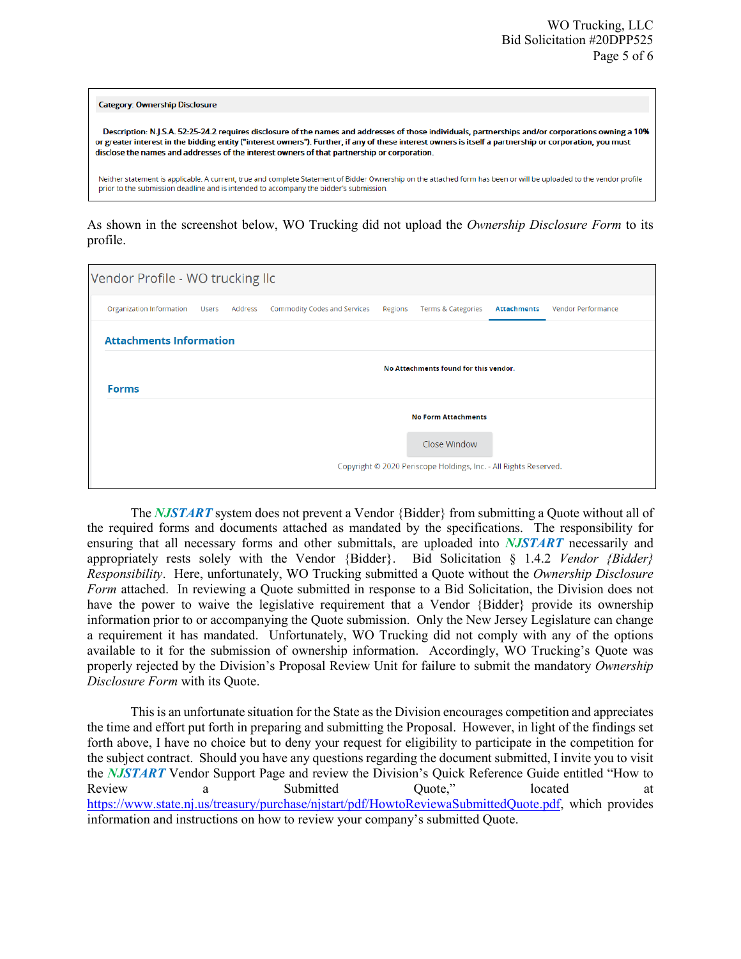## **Category: Ownership Disclosure**

Description: N.J.S.A. 52:25-24.2 requires disclosure of the names and addresses of those individuals, partnerships and/or corporations owning a 10% or greater interest in the bidding entity ("interest owners"). Further, if any of these interest owners is itself a partnership or corporation, you must disclose the names and addresses of the interest owners of that partnership or corporation.

Neither statement is applicable. A current, true and complete Statement of Bidder Ownership on the attached form has been or will be uploaded to the vendor profile prior to the submission deadline and is intended to accompany the bidder's submission.

As shown in the screenshot below, WO Trucking did not upload the *Ownership Disclosure Form* to its profile.

| Vendor Profile - WO trucking Ilc       |                            |  |                              |         |                                                                  |                    |                    |  |  |  |  |  |
|----------------------------------------|----------------------------|--|------------------------------|---------|------------------------------------------------------------------|--------------------|--------------------|--|--|--|--|--|
| Organization Information Users Address |                            |  | Commodity Codes and Services | Regions | Terms & Categories                                               | <b>Attachments</b> | Vendor Performance |  |  |  |  |  |
| <b>Attachments Information</b>         |                            |  |                              |         |                                                                  |                    |                    |  |  |  |  |  |
| No Attachments found for this vendor.  |                            |  |                              |         |                                                                  |                    |                    |  |  |  |  |  |
| <b>Forms</b>                           |                            |  |                              |         |                                                                  |                    |                    |  |  |  |  |  |
|                                        | <b>No Form Attachments</b> |  |                              |         |                                                                  |                    |                    |  |  |  |  |  |
|                                        |                            |  |                              |         | Close Window                                                     |                    |                    |  |  |  |  |  |
|                                        |                            |  |                              |         | Copyright © 2020 Periscope Holdings, Inc. - All Rights Reserved. |                    |                    |  |  |  |  |  |

The *NJSTART* system does not prevent a Vendor {Bidder} from submitting a Quote without all of the required forms and documents attached as mandated by the specifications. The responsibility for ensuring that all necessary forms and other submittals, are uploaded into *NJSTART* necessarily and appropriately rests solely with the Vendor {Bidder}. Bid Solicitation § 1.4.2 *Vendor {Bidder} Responsibility*. Here, unfortunately, WO Trucking submitted a Quote without the *Ownership Disclosure Form* attached. In reviewing a Quote submitted in response to a Bid Solicitation, the Division does not have the power to waive the legislative requirement that a Vendor {Bidder} provide its ownership information prior to or accompanying the Quote submission. Only the New Jersey Legislature can change a requirement it has mandated. Unfortunately, WO Trucking did not comply with any of the options available to it for the submission of ownership information. Accordingly, WO Trucking's Quote was properly rejected by the Division's Proposal Review Unit for failure to submit the mandatory *Ownership Disclosure Form* with its Quote.

This is an unfortunate situation for the State as the Division encourages competition and appreciates the time and effort put forth in preparing and submitting the Proposal. However, in light of the findings set forth above, I have no choice but to deny your request for eligibility to participate in the competition for the subject contract. Should you have any questions regarding the document submitted, I invite you to visit the *NJSTART* Vendor Support Page and review the Division's Quick Reference Guide entitled "How to Review a Submitted Quote," located at [https://www.state.nj.us/treasury/purchase/njstart/pdf/HowtoReviewaSubmittedQuote.pdf,](https://www.state.nj.us/treasury/purchase/njstart/pdf/HowtoReviewaSubmittedQuote.pdf) which provides information and instructions on how to review your company's submitted Quote.